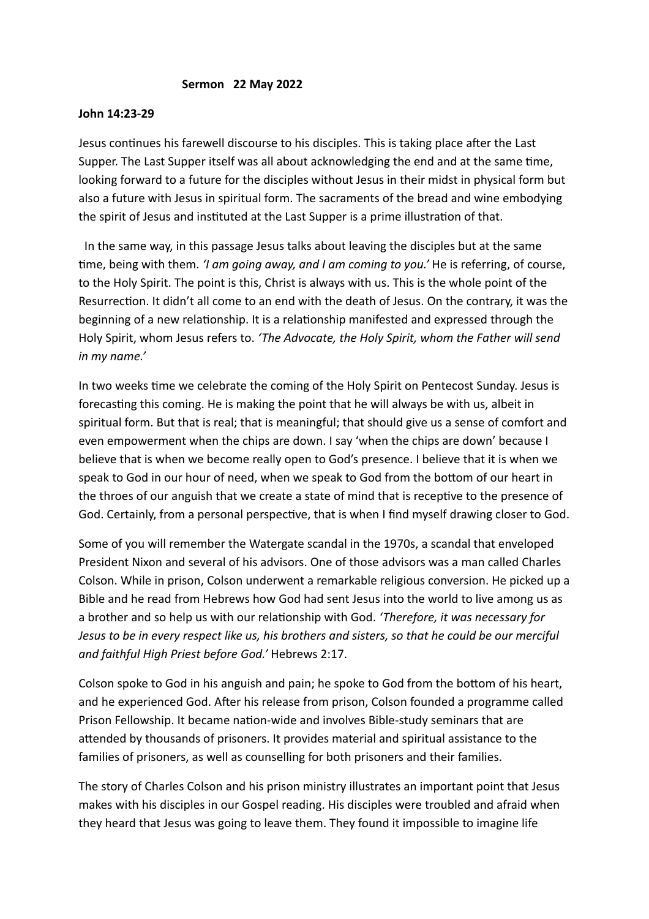## **Sermon 22 May 2022**

## **John 14:23-29**

Jesus continues his farewell discourse to his disciples. This is taking place after the Last Supper. The Last Supper itself was all about acknowledging the end and at the same time, looking forward to a future for the disciples without Jesus in their midst in physical form but also a future with Jesus in spiritual form. The sacraments of the bread and wine embodying the spirit of Jesus and instituted at the Last Supper is a prime illustration of that.

 In the same way, in this passage Jesus talks about leaving the disciples but at the same time, being with them. *'I am going away, and I am coming to you.'* He is referring, of course, to the Holy Spirit. The point is this, Christ is always with us. This is the whole point of the Resurrection. It didn't all come to an end with the death of Jesus. On the contrary, it was the beginning of a new relationship. It is a relationship manifested and expressed through the Holy Spirit, whom Jesus refers to. *'The Advocate, the Holy Spirit, whom the Father will send in my name.'* 

In two weeks time we celebrate the coming of the Holy Spirit on Pentecost Sunday. Jesus is forecasting this coming. He is making the point that he will always be with us, albeit in spiritual form. But that is real; that is meaningful; that should give us a sense of comfort and even empowerment when the chips are down. I say 'when the chips are down' because I believe that is when we become really open to God's presence. I believe that it is when we speak to God in our hour of need, when we speak to God from the bottom of our heart in the throes of our anguish that we create a state of mind that is receptive to the presence of God. Certainly, from a personal perspective, that is when I find myself drawing closer to God.

Some of you will remember the Watergate scandal in the 1970s, a scandal that enveloped President Nixon and several of his advisors. One of those advisors was a man called Charles Colson. While in prison, Colson underwent a remarkable religious conversion. He picked up a Bible and he read from Hebrews how God had sent Jesus into the world to live among us as a brother and so help us with our relationship with God. *'Therefore, it was necessary for Jesus to be in every respect like us, his brothers and sisters, so that he could be our merciful and faithful High Priest before God.'* Hebrews 2:17.

Colson spoke to God in his anguish and pain; he spoke to God from the bottom of his heart, and he experienced God. After his release from prison, Colson founded a programme called Prison Fellowship. It became nation-wide and involves Bible-study seminars that are attended by thousands of prisoners. It provides material and spiritual assistance to the families of prisoners, as well as counselling for both prisoners and their families.

The story of Charles Colson and his prison ministry illustrates an important point that Jesus makes with his disciples in our Gospel reading. His disciples were troubled and afraid when they heard that Jesus was going to leave them. They found it impossible to imagine life